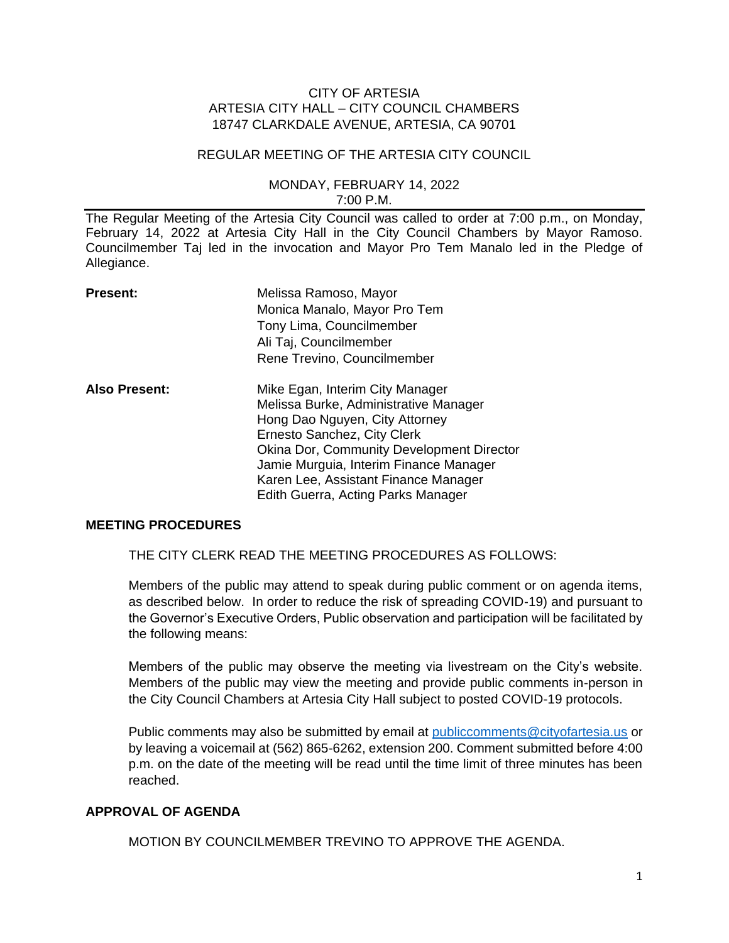### CITY OF ARTESIA ARTESIA CITY HALL – CITY COUNCIL CHAMBERS 18747 CLARKDALE AVENUE, ARTESIA, CA 90701

### REGULAR MEETING OF THE ARTESIA CITY COUNCIL

### MONDAY, FEBRUARY 14, 2022 7:00 P.M.

The Regular Meeting of the Artesia City Council was called to order at 7:00 p.m., on Monday, February 14, 2022 at Artesia City Hall in the City Council Chambers by Mayor Ramoso. Councilmember Taj led in the invocation and Mayor Pro Tem Manalo led in the Pledge of Allegiance.

| <b>Present:</b>      | Melissa Ramoso, Mayor<br>Monica Manalo, Mayor Pro Tem |  |
|----------------------|-------------------------------------------------------|--|
|                      |                                                       |  |
|                      | Tony Lima, Councilmember                              |  |
|                      | Ali Taj, Councilmember                                |  |
|                      | Rene Trevino, Councilmember                           |  |
| <b>Also Present:</b> | Mike Egan, Interim City Manager                       |  |
|                      | Melissa Burke, Administrative Manager                 |  |
|                      | Hong Dao Nguyen, City Attorney                        |  |
|                      | Ernesto Sanchez, City Clerk                           |  |
|                      | Okina Dor, Community Development Director             |  |
|                      | Jamie Murguia, Interim Finance Manager                |  |
|                      | Karen Lee, Assistant Finance Manager                  |  |
|                      | Edith Guerra, Acting Parks Manager                    |  |

# **MEETING PROCEDURES**

THE CITY CLERK READ THE MEETING PROCEDURES AS FOLLOWS:

Members of the public may attend to speak during public comment or on agenda items, as described below. In order to reduce the risk of spreading COVID-19) and pursuant to the Governor's Executive Orders, Public observation and participation will be facilitated by the following means:

Members of the public may observe the meeting via livestream on the City's website. Members of the public may view the meeting and provide public comments in-person in the City Council Chambers at Artesia City Hall subject to posted COVID-19 protocols.

Public comments may also be submitted by email at [publiccomments@cityofartesia.us](mailto:publiccomments@cityofartesia.us) or by leaving a voicemail at (562) 865-6262, extension 200. Comment submitted before 4:00 p.m. on the date of the meeting will be read until the time limit of three minutes has been reached.

# **APPROVAL OF AGENDA**

MOTION BY COUNCILMEMBER TREVINO TO APPROVE THE AGENDA.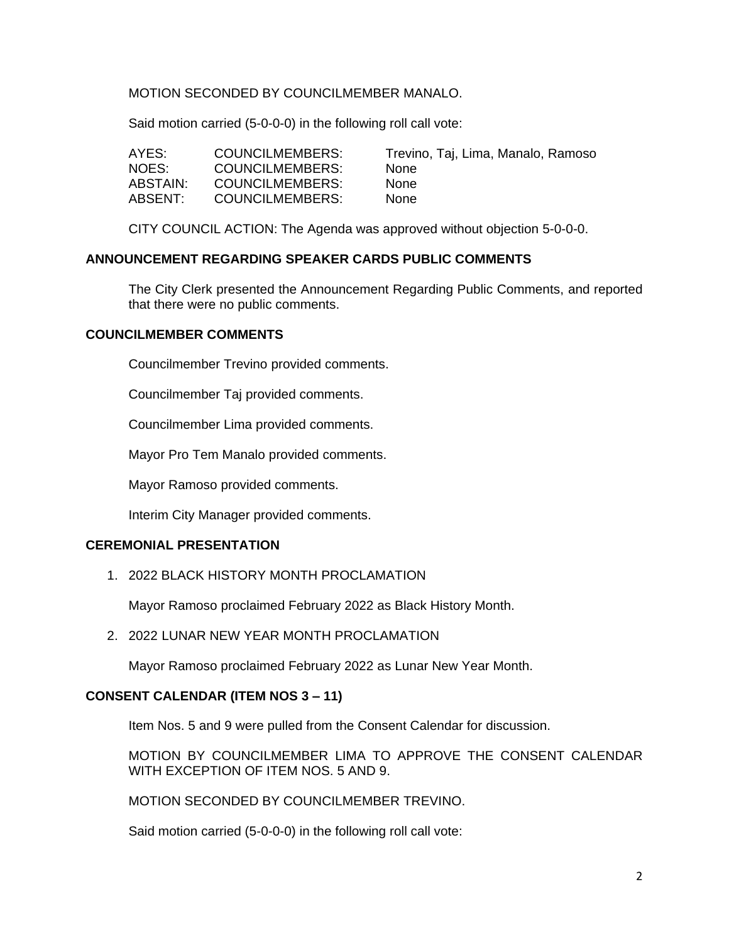# MOTION SECONDED BY COUNCILMEMBER MANALO.

Said motion carried (5-0-0-0) in the following roll call vote:

AYES: COUNCILMEMBERS: Trevino, Taj, Lima, Manalo, Ramoso NOES: COUNCILMEMBERS: None ABSTAIN: COUNCILMEMBERS: None ABSENT: COUNCILMEMBERS: None

CITY COUNCIL ACTION: The Agenda was approved without objection 5-0-0-0.

# **ANNOUNCEMENT REGARDING SPEAKER CARDS PUBLIC COMMENTS**

The City Clerk presented the Announcement Regarding Public Comments, and reported that there were no public comments.

### **COUNCILMEMBER COMMENTS**

Councilmember Trevino provided comments.

Councilmember Taj provided comments.

Councilmember Lima provided comments.

Mayor Pro Tem Manalo provided comments.

Mayor Ramoso provided comments.

Interim City Manager provided comments.

# **CEREMONIAL PRESENTATION**

1. 2022 BLACK HISTORY MONTH PROCLAMATION

Mayor Ramoso proclaimed February 2022 as Black History Month.

2. 2022 LUNAR NEW YEAR MONTH PROCLAMATION

Mayor Ramoso proclaimed February 2022 as Lunar New Year Month.

# **CONSENT CALENDAR (ITEM NOS 3 – 11)**

Item Nos. 5 and 9 were pulled from the Consent Calendar for discussion.

MOTION BY COUNCILMEMBER LIMA TO APPROVE THE CONSENT CALENDAR WITH EXCEPTION OF ITEM NOS. 5 AND 9.

MOTION SECONDED BY COUNCILMEMBER TREVINO.

Said motion carried (5-0-0-0) in the following roll call vote: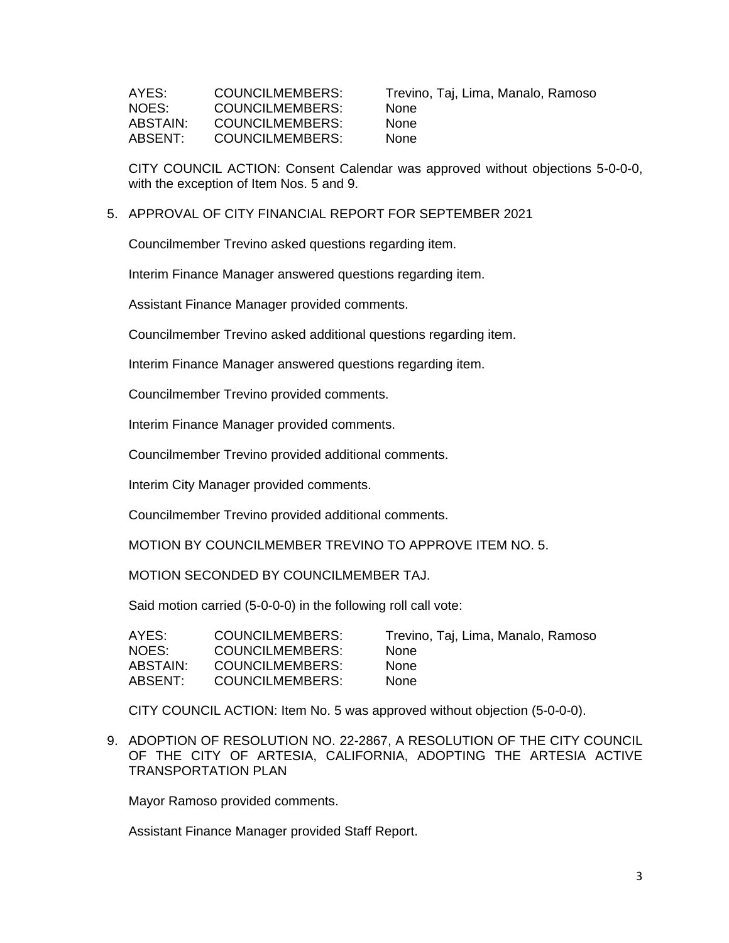| AYES:    | <b>COUNCILMEMBERS:</b> | Trevii |
|----------|------------------------|--------|
| NOES:    | COUNCILMEMBERS:        | None   |
| ABSTAIN: | COUNCILMEMBERS:        | None   |
| ABSENT:  | COUNCILMEMBERS:        | None   |

Trevino, Taj, Lima, Manalo, Ramoso

CITY COUNCIL ACTION: Consent Calendar was approved without objections 5-0-0-0, with the exception of Item Nos. 5 and 9.

### 5. APPROVAL OF CITY FINANCIAL REPORT FOR SEPTEMBER 2021

Councilmember Trevino asked questions regarding item.

Interim Finance Manager answered questions regarding item.

Assistant Finance Manager provided comments.

Councilmember Trevino asked additional questions regarding item.

Interim Finance Manager answered questions regarding item.

Councilmember Trevino provided comments.

Interim Finance Manager provided comments.

Councilmember Trevino provided additional comments.

Interim City Manager provided comments.

Councilmember Trevino provided additional comments.

MOTION BY COUNCILMEMBER TREVINO TO APPROVE ITEM NO. 5.

MOTION SECONDED BY COUNCILMEMBER TAJ.

Said motion carried (5-0-0-0) in the following roll call vote:

| AYES:    | COUNCILMEMBERS: | Trevino, Taj, Lima, Manalo, Ramoso |
|----------|-----------------|------------------------------------|
| NOES:    | COUNCILMEMBERS: | <b>None</b>                        |
| ABSTAIN: | COUNCILMEMBERS: | <b>None</b>                        |
| ABSENT:  | COUNCILMEMBERS: | <b>None</b>                        |

CITY COUNCIL ACTION: Item No. 5 was approved without objection (5-0-0-0).

9. ADOPTION OF RESOLUTION NO. 22-2867, A RESOLUTION OF THE CITY COUNCIL OF THE CITY OF ARTESIA, CALIFORNIA, ADOPTING THE ARTESIA ACTIVE TRANSPORTATION PLAN

Mayor Ramoso provided comments.

Assistant Finance Manager provided Staff Report.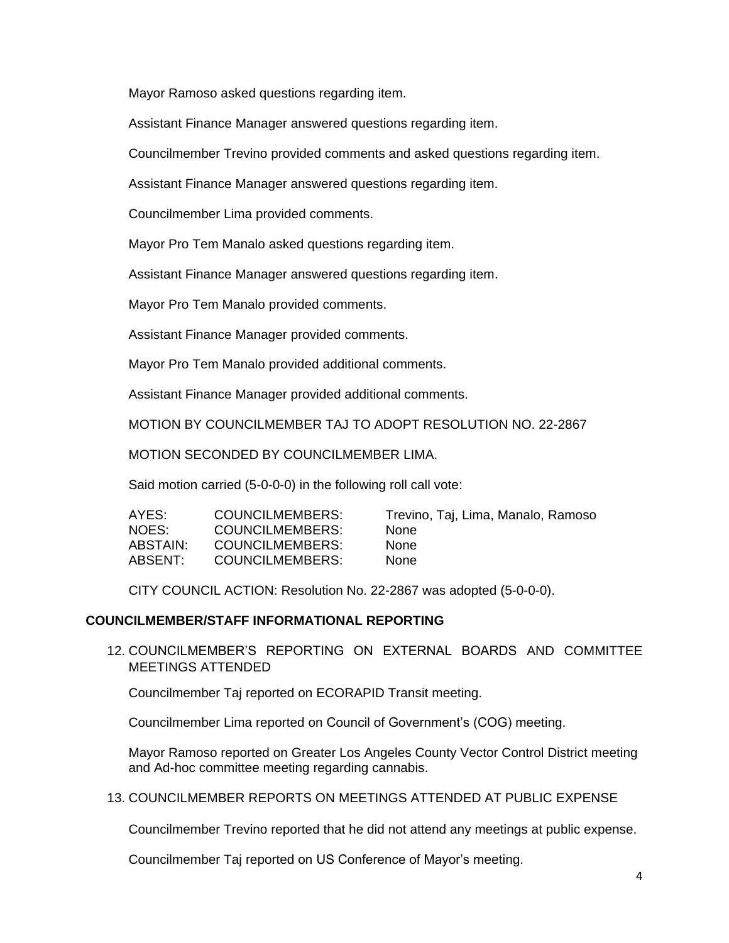Mayor Ramoso asked questions regarding item.

Assistant Finance Manager answered questions regarding item.

Councilmember Trevino provided comments and asked questions regarding item.

Assistant Finance Manager answered questions regarding item.

Councilmember Lima provided comments.

Mayor Pro Tem Manalo asked questions regarding item.

Assistant Finance Manager answered questions regarding item.

Mayor Pro Tem Manalo provided comments.

Assistant Finance Manager provided comments.

Mayor Pro Tem Manalo provided additional comments.

Assistant Finance Manager provided additional comments.

MOTION BY COUNCILMEMBER TAJ TO ADOPT RESOLUTION NO. 22-2867

MOTION SECONDED BY COUNCILMEMBER LIMA.

Said motion carried (5-0-0-0) in the following roll call vote:

| AYES:    | COUNCILMEMBERS:        | Trevino, Taj, Lima, Manalo, Ramoso |
|----------|------------------------|------------------------------------|
| NOES:    | COUNCILMEMBERS:        | <b>None</b>                        |
| ABSTAIN: | COUNCILMEMBERS:        | <b>None</b>                        |
| ABSENT:  | <b>COUNCILMEMBERS:</b> | <b>None</b>                        |

CITY COUNCIL ACTION: Resolution No. 22-2867 was adopted (5-0-0-0).

#### **COUNCILMEMBER/STAFF INFORMATIONAL REPORTING**

12. COUNCILMEMBER'S REPORTING ON EXTERNAL BOARDS AND COMMITTEE MEETINGS ATTENDED

Councilmember Taj reported on ECORAPID Transit meeting.

Councilmember Lima reported on Council of Government's (COG) meeting.

Mayor Ramoso reported on Greater Los Angeles County Vector Control District meeting and Ad-hoc committee meeting regarding cannabis.

13. COUNCILMEMBER REPORTS ON MEETINGS ATTENDED AT PUBLIC EXPENSE

Councilmember Trevino reported that he did not attend any meetings at public expense.

Councilmember Taj reported on US Conference of Mayor's meeting.